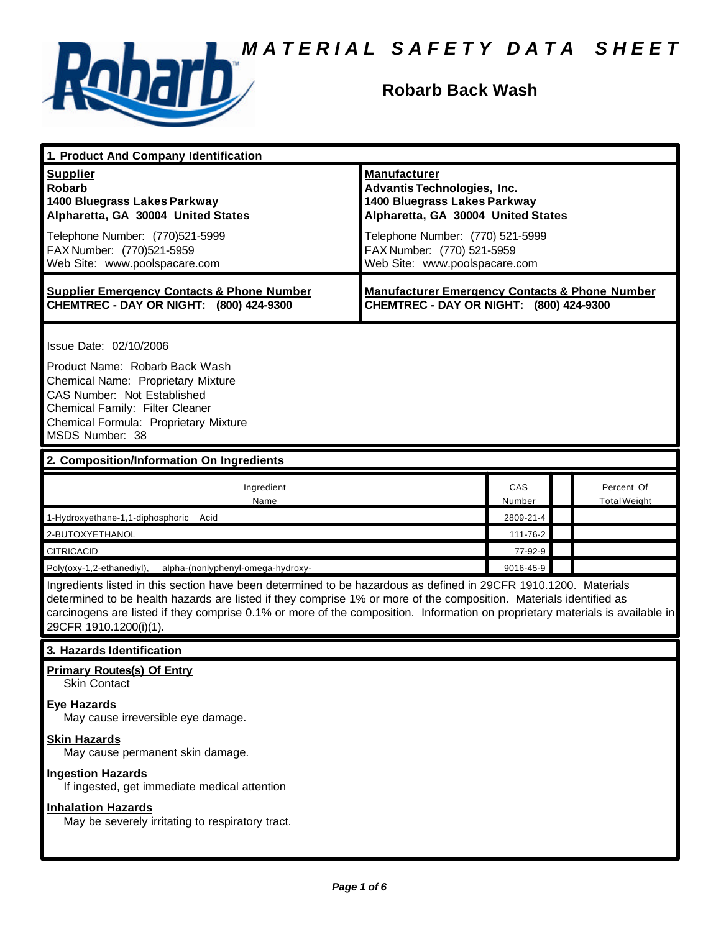

## **Robarb Back Wash**

| 1. Product And Company Identification                                                                                                                                                                                                                                                                                                                                                             |                                                                                                                                                                                                                                    |               |                                   |  |
|---------------------------------------------------------------------------------------------------------------------------------------------------------------------------------------------------------------------------------------------------------------------------------------------------------------------------------------------------------------------------------------------------|------------------------------------------------------------------------------------------------------------------------------------------------------------------------------------------------------------------------------------|---------------|-----------------------------------|--|
| <b>Supplier</b><br><b>Robarb</b><br>1400 Bluegrass Lakes Parkway<br>Alpharetta, GA 30004 United States<br>Telephone Number: (770)521-5999<br>FAX Number: (770)521-5959<br>Web Site: www.poolspacare.com                                                                                                                                                                                           | <b>Manufacturer</b><br><b>Advantis Technologies, Inc.</b><br>1400 Bluegrass Lakes Parkway<br>Alpharetta, GA 30004 United States<br>Telephone Number: (770) 521-5999<br>FAX Number: (770) 521-5959<br>Web Site: www.poolspacare.com |               |                                   |  |
| <b>Supplier Emergency Contacts &amp; Phone Number</b><br>CHEMTREC - DAY OR NIGHT: (800) 424-9300                                                                                                                                                                                                                                                                                                  | <b>Manufacturer Emergency Contacts &amp; Phone Number</b><br>CHEMTREC - DAY OR NIGHT: (800) 424-9300                                                                                                                               |               |                                   |  |
| Issue Date: 02/10/2006<br>Product Name: Robarb Back Wash<br>Chemical Name: Proprietary Mixture<br>CAS Number: Not Established<br>Chemical Family: Filter Cleaner<br>Chemical Formula: Proprietary Mixture<br>MSDS Number: 38                                                                                                                                                                      |                                                                                                                                                                                                                                    |               |                                   |  |
| 2. Composition/Information On Ingredients                                                                                                                                                                                                                                                                                                                                                         |                                                                                                                                                                                                                                    |               |                                   |  |
| Ingredient<br>Name                                                                                                                                                                                                                                                                                                                                                                                |                                                                                                                                                                                                                                    | CAS<br>Number | Percent Of<br><b>Total Weight</b> |  |
| 1-Hydroxyethane-1,1-diphosphoric Acid                                                                                                                                                                                                                                                                                                                                                             |                                                                                                                                                                                                                                    | 2809-21-4     |                                   |  |
| 2-BUTOXYETHANOL                                                                                                                                                                                                                                                                                                                                                                                   |                                                                                                                                                                                                                                    | 111-76-2      |                                   |  |
| <b>CITRICACID</b>                                                                                                                                                                                                                                                                                                                                                                                 |                                                                                                                                                                                                                                    | 77-92-9       |                                   |  |
| Poly(oxy-1,2-ethanediyl),<br>alpha-(nonlyphenyl-omega-hydroxy-                                                                                                                                                                                                                                                                                                                                    |                                                                                                                                                                                                                                    | 9016-45-9     |                                   |  |
| Ingredients listed in this section have been determined to be hazardous as defined in 29CFR 1910.1200. Materials<br>determined to be health hazards are listed if they comprise 1% or more of the composition. Materials identified as<br>carcinogens are listed if they comprise 0.1% or more of the composition. Information on proprietary materials is available in<br>29CFR 1910.1200(i)(1). |                                                                                                                                                                                                                                    |               |                                   |  |
| 3. Hazards Identification                                                                                                                                                                                                                                                                                                                                                                         |                                                                                                                                                                                                                                    |               |                                   |  |
| <b>Primary Routes(s) Of Entry</b><br><b>Skin Contact</b>                                                                                                                                                                                                                                                                                                                                          |                                                                                                                                                                                                                                    |               |                                   |  |
| <b>Eye Hazards</b><br>May cause irreversible eye damage.                                                                                                                                                                                                                                                                                                                                          |                                                                                                                                                                                                                                    |               |                                   |  |
| <b>Skin Hazards</b><br>May cause permanent skin damage.                                                                                                                                                                                                                                                                                                                                           |                                                                                                                                                                                                                                    |               |                                   |  |
| <b>Ingestion Hazards</b><br>If ingested, get immediate medical attention                                                                                                                                                                                                                                                                                                                          |                                                                                                                                                                                                                                    |               |                                   |  |
| <b>Inhalation Hazards</b><br>May be severely irritating to respiratory tract.                                                                                                                                                                                                                                                                                                                     |                                                                                                                                                                                                                                    |               |                                   |  |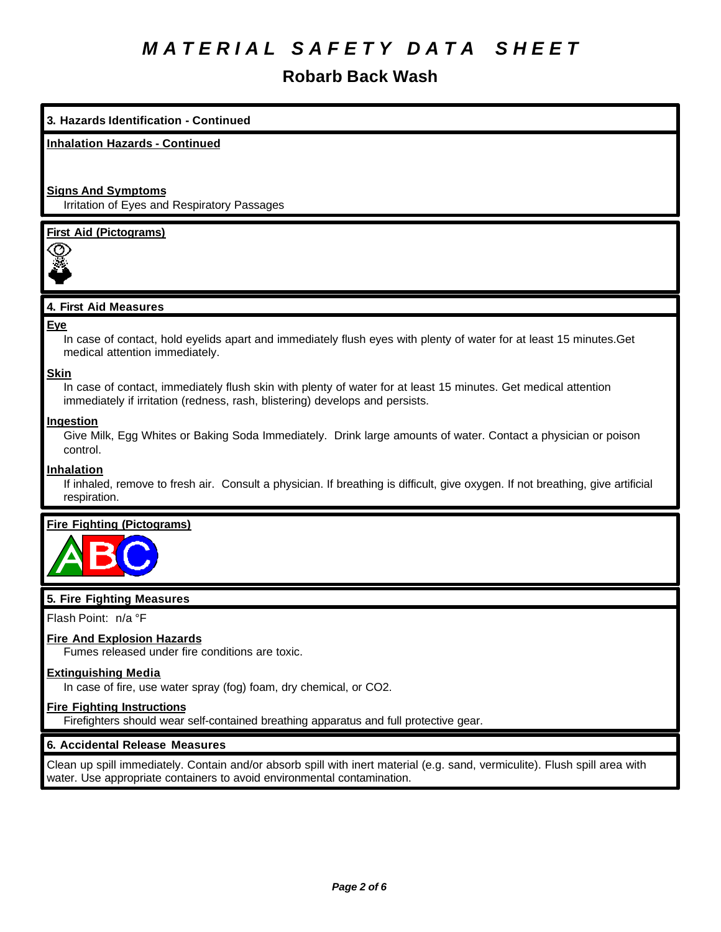## **Robarb Back Wash**

#### **3. Hazards Identification - Continued**

#### **Inhalation Hazards - Continued**

#### **Signs And Symptoms**

Irritation of Eyes and Respiratory Passages

#### **First Aid (Pictograms)**



#### **4. First Aid Measures**

#### **Eye**

In case of contact, hold eyelids apart and immediately flush eyes with plenty of water for at least 15 minutes.Get medical attention immediately.

#### **Skin**

In case of contact, immediately flush skin with plenty of water for at least 15 minutes. Get medical attention immediately if irritation (redness, rash, blistering) develops and persists.

#### **Ingestion**

Give Milk, Egg Whites or Baking Soda Immediately. Drink large amounts of water. Contact a physician or poison control.

#### **Inhalation**

If inhaled, remove to fresh air. Consult a physician. If breathing is difficult, give oxygen. If not breathing, give artificial respiration.

#### **Fire Fighting (Pictograms)**



#### **5. Fire Fighting Measures**

Flash Point: n/a °F

#### **Fire And Explosion Hazards**

Fumes released under fire conditions are toxic.

#### **Extinguishing Media**

In case of fire, use water spray (fog) foam, dry chemical, or CO2.

#### **Fire Fighting Instructions**

Firefighters should wear self-contained breathing apparatus and full protective gear.

#### **6. Accidental Release Measures**

Clean up spill immediately. Contain and/or absorb spill with inert material (e.g. sand, vermiculite). Flush spill area with water. Use appropriate containers to avoid environmental contamination.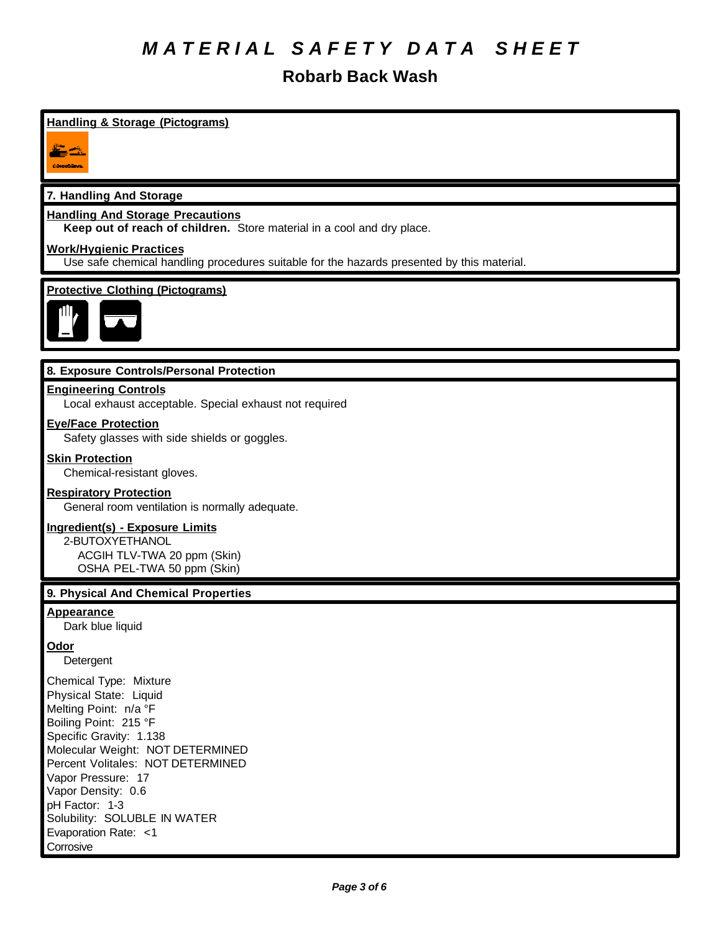### **Robarb Back Wash**

#### **Handling & Storage (Pictograms)**

<u>25.</u> CONNECTIONS:

#### **7. Handling And Storage**

#### **Handling And Storage Precautions**

**Keep out of reach of children.** Store material in a cool and dry place.

#### **Work/Hygienic Practices**

Use safe chemical handling procedures suitable for the hazards presented by this material.

#### **Protective Clothing (Pictograms)**



#### **8. Exposure Controls/Personal Protection**

#### **Engineering Controls**

Local exhaust acceptable. Special exhaust not required

#### **Eye/Face Protection**

Safety glasses with side shields or goggles.

#### **Skin Protection**

Chemical-resistant gloves.

#### **Respiratory Protection**

General room ventilation is normally adequate.

#### **Ingredient(s) - Exposure Limits**

2-BUTOXYETHANOL ACGIH TLV-TWA 20 ppm (Skin) OSHA PEL-TWA 50 ppm (Skin)

#### **9. Physical And Chemical Properties**

#### **Appearance**

Dark blue liquid

#### **Odor**

Detergent

Chemical Type: Mixture Physical State: Liquid Melting Point: n/a °F Boiling Point: 215 °F Specific Gravity: 1.138 Molecular Weight: NOT DETERMINED Percent Volitales: NOT DETERMINED Vapor Pressure: 17 Vapor Density: 0.6 pH Factor: 1-3 Solubility: SOLUBLE IN WATER Evaporation Rate: <1 **Corrosive**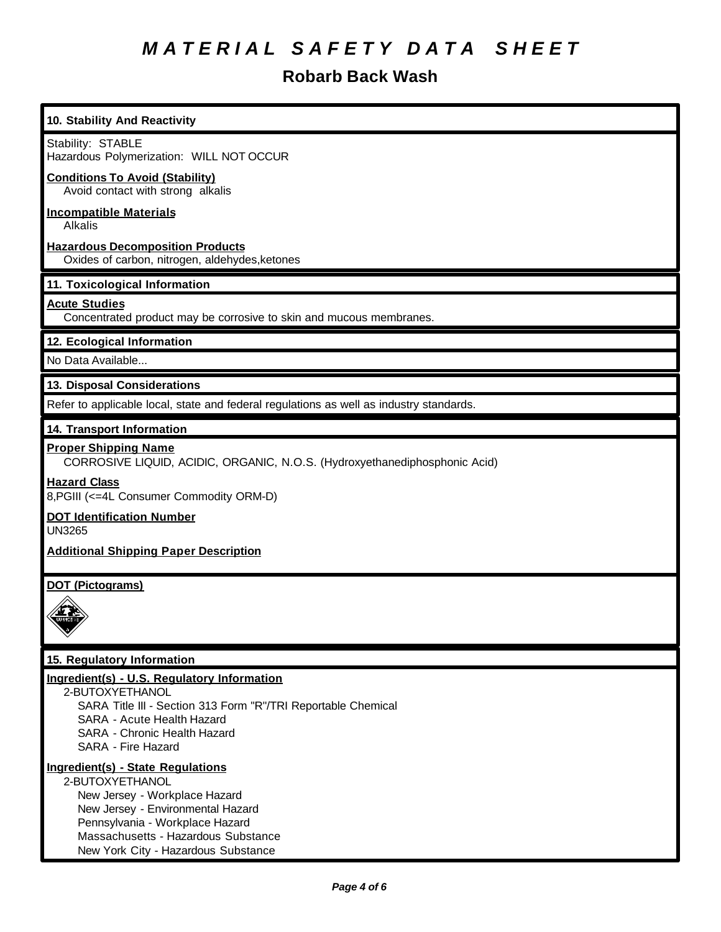## **Robarb Back Wash**

## **10. Stability And Reactivity** Stability: STABLE Hazardous Polymerization: WILL NOT OCCUR **Conditions To Avoid (Stability)** Avoid contact with strong alkalis **Incompatible Materials** Alkalis **Hazardous Decomposition Products** Oxides of carbon, nitrogen, aldehydes,ketones **11. Toxicological Information Acute Studies** Concentrated product may be corrosive to skin and mucous membranes. **12. Ecological Information** No Data Available... **13. Disposal Considerations** Refer to applicable local, state and federal regulations as well as industry standards. **14. Transport Information Proper Shipping Name** CORROSIVE LIQUID, ACIDIC, ORGANIC, N.O.S. (Hydroxyethanediphosphonic Acid) **Hazard Class** 8,PGIII (<=4L Consumer Commodity ORM-D) **DOT Identification Number** UN3265 **Additional Shipping Paper Description DOT (Pictograms) 15. Regulatory Information Ingredient(s) - U.S. Regulatory Information** 2-BUTOXYETHANOL SARA Title III - Section 313 Form "R"/TRI Reportable Chemical SARA - Acute Health Hazard SARA - Chronic Health Hazard SARA - Fire Hazard **Ingredient(s) - State Regulations**

2-BUTOXYETHANOL New Jersey - Workplace Hazard New Jersey - Environmental Hazard Pennsylvania - Workplace Hazard Massachusetts - Hazardous Substance New York City - Hazardous Substance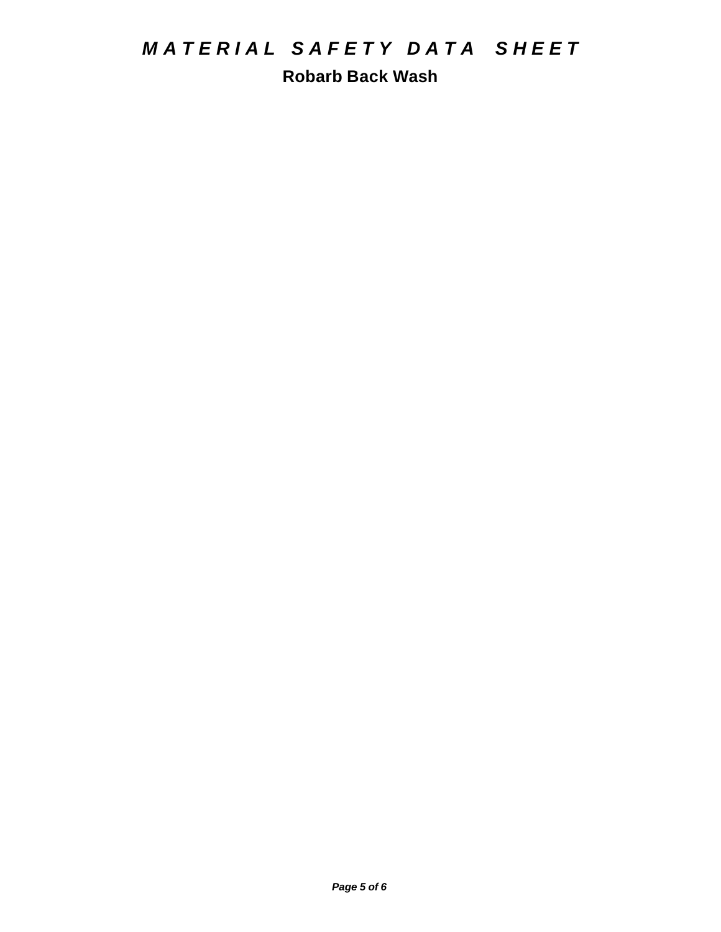**Robarb Back Wash**